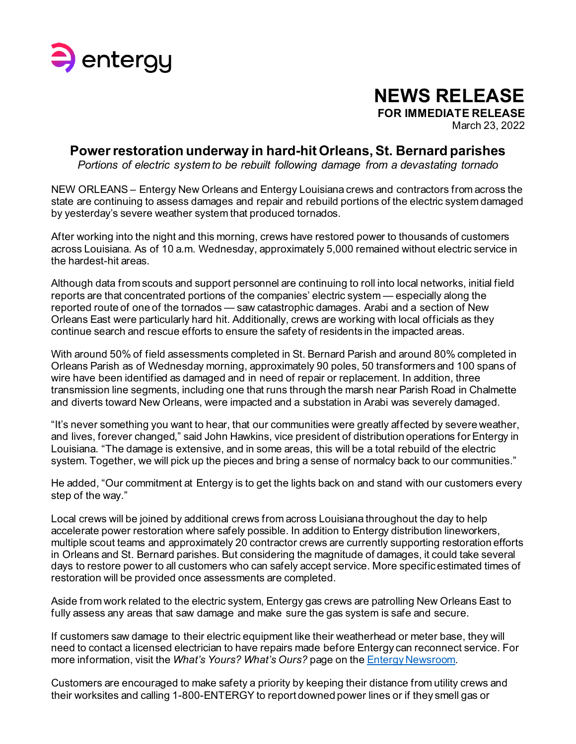

## **NEWS RELEASE**

**FOR IMMEDIATE RELEASE**

March 23, 2022

## **Power restoration underway in hard-hit Orleans, St. Bernard parishes**

*Portions of electric system to be rebuilt following damage from a devastating tornado*

NEW ORLEANS – Entergy New Orleans and Entergy Louisiana crews and contractors from across the state are continuing to assess damages and repair and rebuild portions of the electric system damaged by yesterday's severe weather system that produced tornados.

After working into the night and this morning, crews have restored power to thousands of customers across Louisiana. As of 10 a.m. Wednesday, approximately 5,000 remained without electric service in the hardest-hit areas.

Although data from scouts and support personnel are continuing to roll into local networks, initial field reports are that concentrated portions of the companies' electric system — especially along the reported route of one of the tornados — saw catastrophic damages. Arabi and a section of New Orleans East were particularly hard hit. Additionally, crews are working with local officials as they continue search and rescue efforts to ensure the safety of residents in the impacted areas.

With around 50% of field assessments completed in St. Bernard Parish and around 80% completed in Orleans Parish as of Wednesday morning, approximately 90 poles, 50 transformers and 100 spans of wire have been identified as damaged and in need of repair or replacement. In addition, three transmission line segments, including one that runs through the marsh near Parish Road in Chalmette and diverts toward New Orleans, were impacted and a substation in Arabi was severely damaged.

"It's never something you want to hear, that our communities were greatly affected by severe weather, and lives, forever changed," said John Hawkins, vice president of distribution operations for Entergy in Louisiana. "The damage is extensive, and in some areas, this will be a total rebuild of the electric system. Together, we will pick up the pieces and bring a sense of normalcy back to our communities."

He added, "Our commitment at Entergy is to get the lights back on and stand with our customers every step of the way."

Local crews will be joined by additional crews from across Louisiana throughout the day to help accelerate power restoration where safely possible. In addition to Entergy distribution lineworkers, multiple scout teams and approximately 20 contractor crews are currently supporting restoration efforts in Orleans and St. Bernard parishes. But considering the magnitude of damages, it could take several days to restore power to all customers who can safely accept service. More specific estimated times of restoration will be provided once assessments are completed.

Aside from work related to the electric system, Entergy gas crews are patrolling New Orleans East to fully assess any areas that saw damage and make sure the gas system is safe and secure.

If customers saw damage to their electric equipment like their weatherhead or meter base, they will need to contact a licensed electrician to have repairs made before Entergy can reconnect service. For more information, visit the *What's Yours? What's Ours?* page on th[e Entergy Newsroom](https://www.entergynewsroom.com/storm-center/weatherhead/).

Customers are encouraged to make safety a priority by keeping their distance from utility crews and their worksites and calling 1-800-ENTERGY to report downed power lines or if they smell gas or